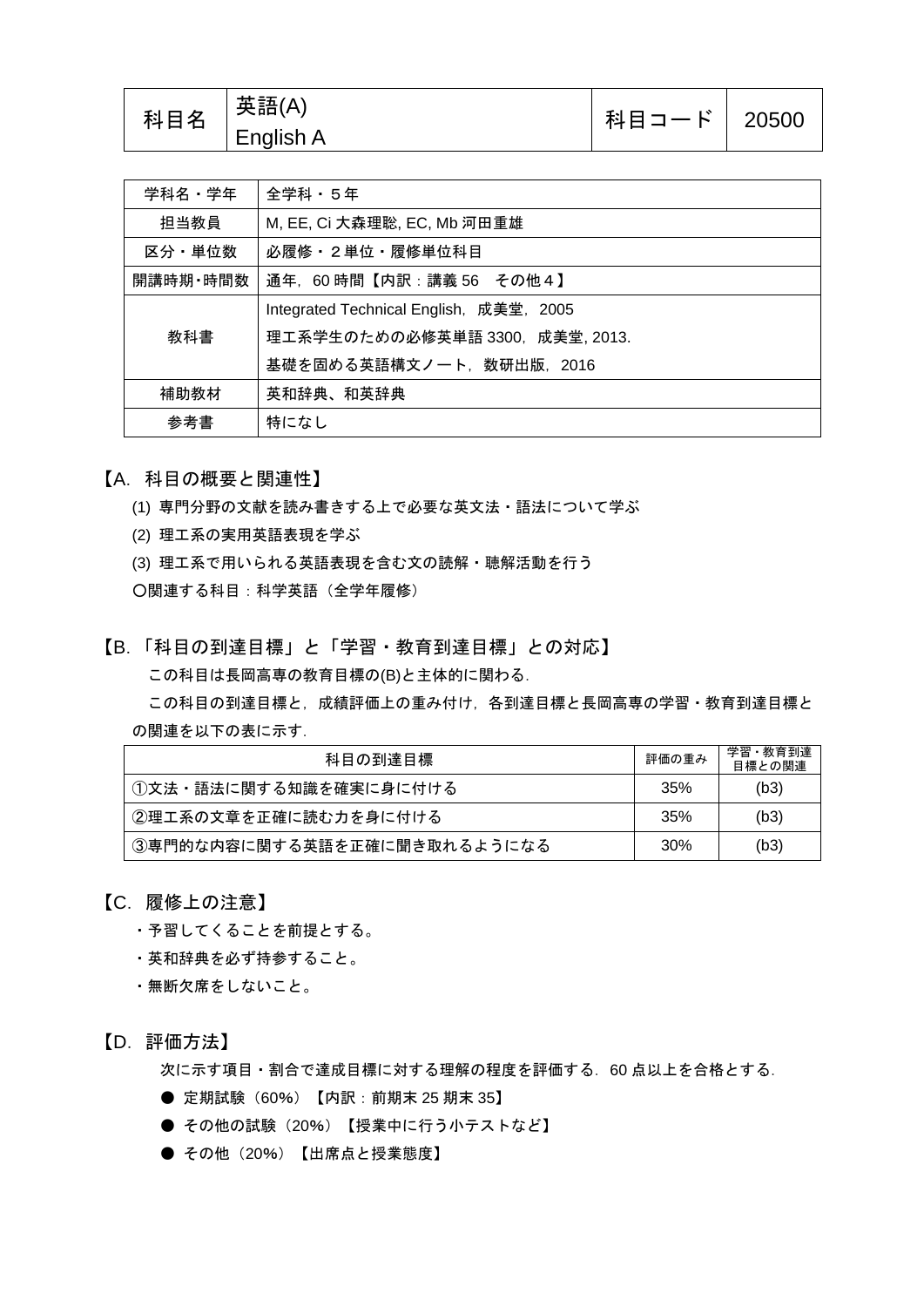| 科目名 | 「英語(A)<br>English A | 科目コード   20500 |  |
|-----|---------------------|---------------|--|
|-----|---------------------|---------------|--|

| 学科名・学年   | 全学科・5年                                  |  |
|----------|-----------------------------------------|--|
| 担当教員     | M, EE, Ci 大森理聡, EC, Mb 河田重雄             |  |
| 区分・単位数   | 必履修・2単位・履修単位科目                          |  |
| 開講時期・時間数 | 通年,60 時間【内訳:講義 56 その他4】                 |  |
| 教科書      | Integrated Technical English, 成美堂, 2005 |  |
|          | 理工系学生のための必修英単語 3300, 成美堂, 2013.         |  |
|          | 基礎を固める英語構文ノート,数研出版,2016                 |  |
| 補助教材     | 英和辞典、和英辞典                               |  |
| 参考書      | 特になし                                    |  |

【A.科目の概要と関連性】

- (1) 専門分野の文献を読み書きする上で必要な英文法・語法について学ぶ
- (2) 理工系の実用英語表現を学ぶ
- (3) 理工系で用いられる英語表現を含む文の読解・聴解活動を行う
- ○関連する科目:科学英語(全学年履修)

【B.「科目の到達目標」と「学習・教育到達目標」との対応】 この科目は長岡高専の教育目標の(B)と主体的に関わる.

この科目の到達目標と,成績評価上の重み付け,各到達目標と長岡高専の学習·教育到達目標と の関連を以下の表に示す.

| 科目の到達目標                     |  | 学習・教育到達<br>目標との関連 |
|-----------------------------|--|-------------------|
| ①文法・語法に関する知識を確実に身に付ける       |  | (b3)              |
| ②理工系の文章を正確に読む力を身に付ける        |  | (b3)              |
| ③専門的な内容に関する英語を正確に聞き取れるようになる |  | (b3)              |

## 【C.履修上の注意】

- ・予習してくることを前提とする。
- ・英和辞典を必ず持参すること。
- ・無断欠席をしないこと。

【D.評価方法】

次に示す項目・割合で達成目標に対する理解の程度を評価する. 60 点以上を合格とする.

- 定期試験 (60%) 【内訳: 前期末 25 期末 35】
- その他の試験 (20%) 【授業中に行う小テストなど】
- その他 (20%) 【出席点と授業態度】